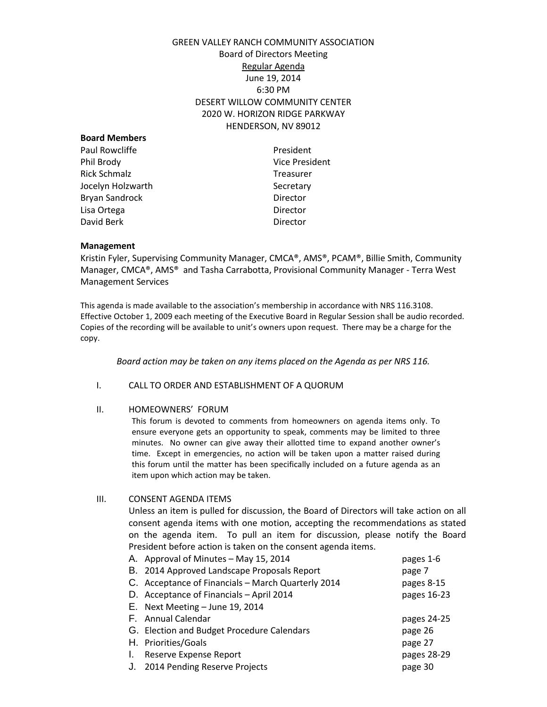# GREEN VALLEY RANCH COMMUNITY ASSOCIATION Board of Directors Meeting Regular Agenda June 19, 2014 6:30 PM DESERT WILLOW COMMUNITY CENTER 2020 W. HORIZON RIDGE PARKWAY HENDERSON, NV 89012

| President             |
|-----------------------|
| <b>Vice President</b> |
| <b>Treasurer</b>      |
| Secretary             |
| Director              |
| Director              |
| Director              |
|                       |

#### **Management**

Kristin Fyler, Supervising Community Manager, CMCA®, AMS®, PCAM®, Billie Smith, Community Manager, CMCA®, AMS® and Tasha Carrabotta, Provisional Community Manager - Terra West Management Services

This agenda is made available to the association's membership in accordance with NRS 116.3108. Effective October 1, 2009 each meeting of the Executive Board in Regular Session shall be audio recorded. Copies of the recording will be available to unit's owners upon request. There may be a charge for the copy.

*Board action may be taken on any items placed on the Agenda as per NRS 116.*

### I. CALL TO ORDER AND ESTABLISHMENT OF A QUORUM

#### II. HOMEOWNERS' FORUM

This forum is devoted to comments from homeowners on agenda items only. To ensure everyone gets an opportunity to speak, comments may be limited to three minutes. No owner can give away their allotted time to expand another owner's time. Except in emergencies, no action will be taken upon a matter raised during this forum until the matter has been specifically included on a future agenda as an item upon which action may be taken.

III. CONSENT AGENDA ITEMS

Unless an item is pulled for discussion, the Board of Directors will take action on all consent agenda items with one motion, accepting the recommendations as stated on the agenda item. To pull an item for discussion, please notify the Board President before action is taken on the consent agenda items.<br>A conserval of Minutes – May 15, 2014

|    | A. Approval of Minutes - May 15, 2014              | pages 1-6   |
|----|----------------------------------------------------|-------------|
|    | B. 2014 Approved Landscape Proposals Report        | page 7      |
|    | C. Acceptance of Financials - March Quarterly 2014 | pages 8-15  |
|    | D. Acceptance of Financials - April 2014           | pages 16-23 |
|    | E. Next Meeting - June 19, 2014                    |             |
|    | F. Annual Calendar                                 | pages 24-25 |
|    | G. Election and Budget Procedure Calendars         | page 26     |
|    | H. Priorities/Goals                                | page 27     |
| Ι. | Reserve Expense Report                             | pages 28-29 |
| J. | 2014 Pending Reserve Projects                      | page 30     |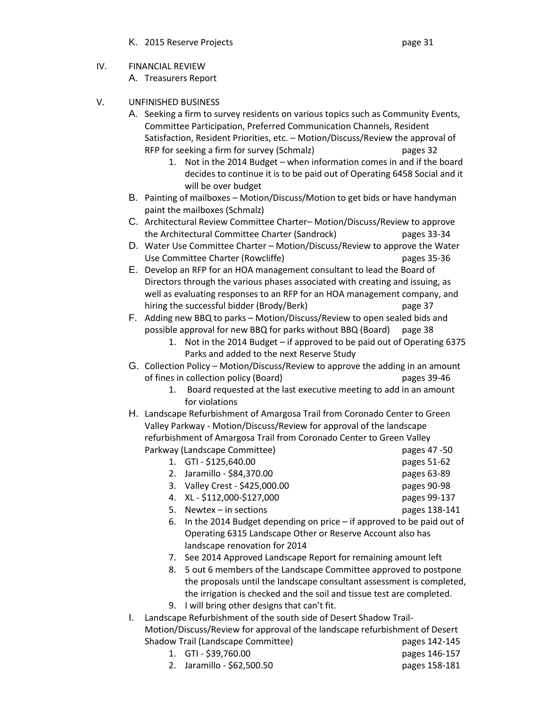- K. 2015 Reserve Projects **Example 2018** Page 31
	-

- IV. FINANCIAL REVIEW A. Treasurers Report
- V. UNFINISHED BUSINESS
	- A. Seeking a firm to survey residents on various topics such as Community Events, Committee Participation, Preferred Communication Channels, Resident Satisfaction, Resident Priorities, etc. – Motion/Discuss/Review the approval of RFP for seeking a firm for survey (Schmalz) pages 32
		- 1. Not in the 2014 Budget when information comes in and if the board decides to continue it is to be paid out of Operating 6458 Social and it will be over budget
	- B. Painting of mailboxes Motion/Discuss/Motion to get bids or have handyman paint the mailboxes (Schmalz)
	- C. Architectural Review Committee Charter– Motion/Discuss/Review to approve the Architectural Committee Charter (Sandrock) pages 33-34
	- D. Water Use Committee Charter Motion/Discuss/Review to approve the Water Use Committee Charter (Rowcliffe) example 25-36
	- E. Develop an RFP for an HOA management consultant to lead the Board of Directors through the various phases associated with creating and issuing, as well as evaluating responses to an RFP for an HOA management company, and hiring the successful bidder (Brody/Berk) page 37
	- F. Adding new BBQ to parks Motion/Discuss/Review to open sealed bids and possible approval for new BBQ for parks without BBQ (Board) page 38
		- 1. Not in the 2014 Budget if approved to be paid out of Operating 6375 Parks and added to the next Reserve Study
	- G. Collection Policy Motion/Discuss/Review to approve the adding in an amount of fines in collection policy (Board) pages 39-46
		- 1. Board requested at the last executive meeting to add in an amount for violations
	- H. Landscape Refurbishment of Amargosa Trail from Coronado Center to Green Valley Parkway - Motion/Discuss/Review for approval of the landscape refurbishment of Amargosa Trail from Coronado Center to Green Valley Parkway (Landscape Committee) and pages 47 -50
		- 1. GTI \$125,640.00 pages 51-62 2. Jaramillo - \$84,370.00 pages 63-89
		- 3. Valley Crest \$425,000.00 pages 90-98
		- 4. XL \$112,000-\$127,000 pages 99-137 5. Newtex – in sections pages 138-141
		-
		- 6. In the 2014 Budget depending on price if approved to be paid out of Operating 6315 Landscape Other or Reserve Account also has landscape renovation for 2014
		- 7. See 2014 Approved Landscape Report for remaining amount left
		- 8. 5 out 6 members of the Landscape Committee approved to postpone the proposals until the landscape consultant assessment is completed, the irrigation is checked and the soil and tissue test are completed.
		- 9. I will bring other designs that can't fit.
	- I. Landscape Refurbishment of the south side of Desert Shadow Trail-Motion/Discuss/Review for approval of the landscape refurbishment of Desert Shadow Trail (Landscape Committee) example the pages 142-145
		- 1. GTI \$39,760.00 pages 146-157 2. Jaramillo - \$62,500.50 pages 158-181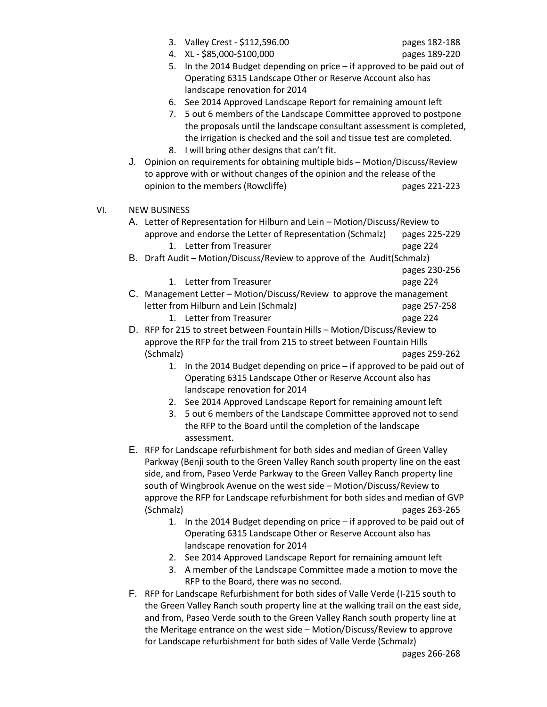| 3. |  |  |  | Valley Crest - \$112,596.00 |
|----|--|--|--|-----------------------------|
|----|--|--|--|-----------------------------|

- 4. XL \$85,000-\$100,000 pages 189-220
	-
- 5. In the 2014 Budget depending on price if approved to be paid out of Operating 6315 Landscape Other or Reserve Account also has landscape renovation for 2014
- 6. See 2014 Approved Landscape Report for remaining amount left
- 7. 5 out 6 members of the Landscape Committee approved to postpone the proposals until the landscape consultant assessment is completed, the irrigation is checked and the soil and tissue test are completed. 8. I will bring other designs that can't fit.
- J. Opinion on requirements for obtaining multiple bids Motion/Discuss/Review to approve with or without changes of the opinion and the release of the opinion to the members (Rowcliffe) example the pages 221-223
- VI. NEW BUSINESS
	- A. Letter of Representation for Hilburn and Lein Motion/Discuss/Review to approve and endorse the Letter of Representation (Schmalz) pages 225-229 1. Letter from Treasurer **page 224** B. Draft Audit – Motion/Discuss/Review to approve of the Audit(Schmalz)

pages 230-256

- 1. Letter from Treasurer **page 224**
- C. Management Letter Motion/Discuss/Review to approve the management letter from Hilburn and Lein (Schmalz) page 257-258
	- 1. Letter from Treasurer **page 224**
- D. RFP for 215 to street between Fountain Hills Motion/Discuss/Review to approve the RFP for the trail from 215 to street between Fountain Hills (Schmalz) pages 259-262
	- 1. In the 2014 Budget depending on price if approved to be paid out of Operating 6315 Landscape Other or Reserve Account also has landscape renovation for 2014
	- 2. See 2014 Approved Landscape Report for remaining amount left
	- 3. 5 out 6 members of the Landscape Committee approved not to send the RFP to the Board until the completion of the landscape assessment.
- E. RFP for Landscape refurbishment for both sides and median of Green Valley Parkway (Benji south to the Green Valley Ranch south property line on the east side, and from, Paseo Verde Parkway to the Green Valley Ranch property line south of Wingbrook Avenue on the west side – Motion/Discuss/Review to approve the RFP for Landscape refurbishment for both sides and median of GVP (Schmalz) pages 263-265
	- 1. In the 2014 Budget depending on price if approved to be paid out of Operating 6315 Landscape Other or Reserve Account also has landscape renovation for 2014
	- 2. See 2014 Approved Landscape Report for remaining amount left
	- 3. A member of the Landscape Committee made a motion to move the RFP to the Board, there was no second.
- F. RFP for Landscape Refurbishment for both sides of Valle Verde (I-215 south to the Green Valley Ranch south property line at the walking trail on the east side, and from, Paseo Verde south to the Green Valley Ranch south property line at the Meritage entrance on the west side – Motion/Discuss/Review to approve for Landscape refurbishment for both sides of Valle Verde (Schmalz)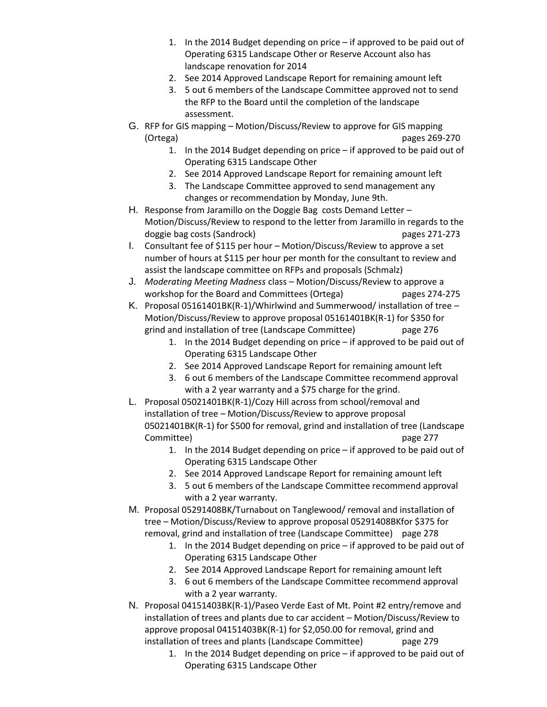- 1. In the 2014 Budget depending on price if approved to be paid out of Operating 6315 Landscape Other or Reserve Account also has landscape renovation for 2014
- 2. See 2014 Approved Landscape Report for remaining amount left
- 3. 5 out 6 members of the Landscape Committee approved not to send the RFP to the Board until the completion of the landscape assessment.
- G. RFP for GIS mapping Motion/Discuss/Review to approve for GIS mapping (Ortega) pages 269-270
	- 1. In the 2014 Budget depending on price if approved to be paid out of Operating 6315 Landscape Other
	- 2. See 2014 Approved Landscape Report for remaining amount left
	- 3. The Landscape Committee approved to send management any changes or recommendation by Monday, June 9th.
- H. Response from Jaramillo on the Doggie Bag costs Demand Letter Motion/Discuss/Review to respond to the letter from Jaramillo in regards to the doggie bag costs (Sandrock) bagging pages 271-273
- I. Consultant fee of \$115 per hour Motion/Discuss/Review to approve a set number of hours at \$115 per hour per month for the consultant to review and assist the landscape committee on RFPs and proposals (Schmalz)
- J. *Moderating Meeting Madness* class Motion/Discuss/Review to approve a workshop for the Board and Committees (Ortega) pages 274-275
- K. Proposal 05161401BK(R-1)/Whirlwind and Summerwood/ installation of tree Motion/Discuss/Review to approve proposal 05161401BK(R-1) for \$350 for grind and installation of tree (Landscape Committee) page 276
	- 1. In the 2014 Budget depending on price if approved to be paid out of Operating 6315 Landscape Other
	- 2. See 2014 Approved Landscape Report for remaining amount left
	- 3. 6 out 6 members of the Landscape Committee recommend approval with a 2 year warranty and a \$75 charge for the grind.
- L. Proposal 05021401BK(R-1)/Cozy Hill across from school/removal and installation of tree – Motion/Discuss/Review to approve proposal 05021401BK(R-1) for \$500 for removal, grind and installation of tree (Landscape Committee) page 277
	- 1. In the 2014 Budget depending on price if approved to be paid out of Operating 6315 Landscape Other
	- 2. See 2014 Approved Landscape Report for remaining amount left
	- 3. 5 out 6 members of the Landscape Committee recommend approval with a 2 year warranty.
- M. Proposal 05291408BK/Turnabout on Tanglewood/ removal and installation of tree – Motion/Discuss/Review to approve proposal 05291408BKfor \$375 for removal, grind and installation of tree (Landscape Committee) page 278
	- 1. In the 2014 Budget depending on price if approved to be paid out of Operating 6315 Landscape Other
	- 2. See 2014 Approved Landscape Report for remaining amount left
	- 3. 6 out 6 members of the Landscape Committee recommend approval with a 2 year warranty.
- N. Proposal 04151403BK(R-1)/Paseo Verde East of Mt. Point #2 entry/remove and installation of trees and plants due to car accident – Motion/Discuss/Review to approve proposal 04151403BK(R-1) for \$2,050.00 for removal, grind and installation of trees and plants (Landscape Committee) page 279
	- 1. In the 2014 Budget depending on price if approved to be paid out of Operating 6315 Landscape Other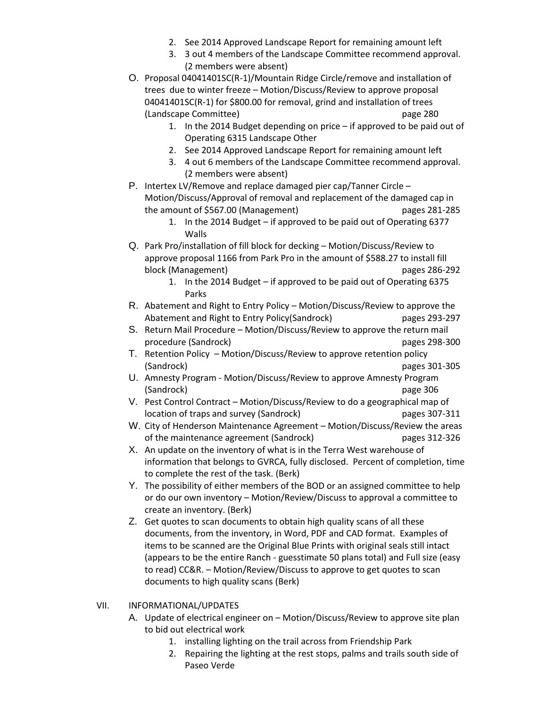- 2. See 2014 Approved Landscape Report for remaining amount left
- 3. 3 out 4 members of the Landscape Committee recommend approval. (2 members were absent)
- O. Proposal 04041401SC(R-1)/Mountain Ridge Circle/remove and installation of trees due to winter freeze – Motion/Discuss/Review to approve proposal 04041401SC(R-1) for \$800.00 for removal, grind and installation of trees (Landscape Committee) page 280
	- 1. In the 2014 Budget depending on price if approved to be paid out of Operating 6315 Landscape Other
	- 2. See 2014 Approved Landscape Report for remaining amount left
	- 3. 4 out 6 members of the Landscape Committee recommend approval. (2 members were absent)
- P. Intertex LV/Remove and replace damaged pier cap/Tanner Circle Motion/Discuss/Approval of removal and replacement of the damaged cap in the amount of \$567.00 (Management) pages 281-285
	- 1. In the 2014 Budget if approved to be paid out of Operating 6377 Walls
- Q. Park Pro/installation of fill block for decking Motion/Discuss/Review to approve proposal 1166 from Park Pro in the amount of \$588.27 to install fill block (Management) pages 286-292
	- 1. In the 2014 Budget if approved to be paid out of Operating 6375 Parks
- R. Abatement and Right to Entry Policy Motion/Discuss/Review to approve the Abatement and Right to Entry Policy(Sandrock) pages 293-297
- S. Return Mail Procedure Motion/Discuss/Review to approve the return mail procedure (Sandrock) and pages 298-300 pages 298-300
- T. Retention Policy Motion/Discuss/Review to approve retention policy (Sandrock) pages 301-305
- U. Amnesty Program Motion/Discuss/Review to approve Amnesty Program (Sandrock) page 306
- V. Pest Control Contract Motion/Discuss/Review to do a geographical map of location of traps and survey (Sandrock) pages 307-311
- W. City of Henderson Maintenance Agreement Motion/Discuss/Review the areas of the maintenance agreement (Sandrock) pages 312-326
- X. An update on the inventory of what is in the Terra West warehouse of information that belongs to GVRCA, fully disclosed. Percent of completion, time to complete the rest of the task. (Berk)
- Y. The possibility of either members of the BOD or an assigned committee to help or do our own inventory – Motion/Review/Discuss to approval a committee to create an inventory. (Berk)
- Z. Get quotes to scan documents to obtain high quality scans of all these documents, from the inventory, in Word, PDF and CAD format. Examples of items to be scanned are the Original Blue Prints with original seals still intact (appears to be the entire Ranch - guesstimate 50 plans total) and Full size (easy to read) CC&R. – Motion/Review/Discuss to approve to get quotes to scan documents to high quality scans (Berk)
- VII. INFORMATIONAL/UPDATES
	- A. Update of electrical engineer on Motion/Discuss/Review to approve site plan to bid out electrical work
		- 1. installing lighting on the trail across from Friendship Park
		- 2. Repairing the lighting at the rest stops, palms and trails south side of Paseo Verde